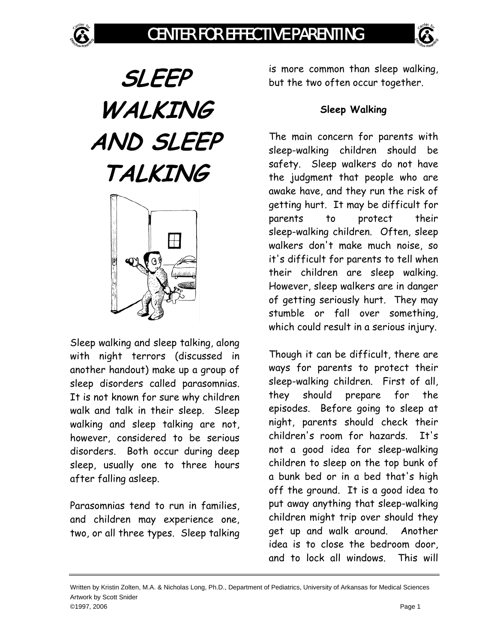

**SLEEP WALKING AND SLEEP TALKING** 



Sleep walking and sleep talking, along with night terrors (discussed in another handout) make up a group of sleep disorders called parasomnias. It is not known for sure why children walk and talk in their sleep. Sleep walking and sleep talking are not, however, considered to be serious disorders. Both occur during deep sleep, usually one to three hours after falling asleep.

Parasomnias tend to run in families, and children may experience one, two, or all three types. Sleep talking

is more common than sleep walking, but the two often occur together.

## **Sleep Walking**

The main concern for parents with sleep-walking children should be safety. Sleep walkers do not have the judgment that people who are awake have, and they run the risk of getting hurt. It may be difficult for parents to protect their sleep-walking children. Often, sleep walkers don't make much noise, so it's difficult for parents to tell when their children are sleep walking. However, sleep walkers are in danger of getting seriously hurt. They may stumble or fall over something, which could result in a serious injury.

Though it can be difficult, there are ways for parents to protect their sleep-walking children. First of all, they should prepare for the episodes. Before going to sleep at night, parents should check their children's room for hazards. It's not a good idea for sleep-walking children to sleep on the top bunk of a bunk bed or in a bed that's high off the ground. It is a good idea to put away anything that sleep-walking children might trip over should they get up and walk around. Another idea is to close the bedroom door, and to lock all windows. This will